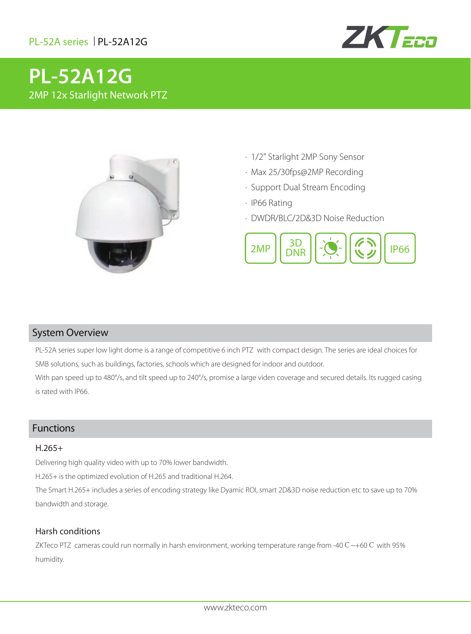

# **PL-52A12G** 2MP 12x Starlight Network PTZ



- · 1/2" Starlight 2MP Sony Sensor
- · Max 25/30fps@2MP Recording
- · Support Dual Stream Encoding
- · IP66 Rating
- · DWDR/BLC/2D&3D Noise Reduction



## System Overview

PL-52A series super low light dome is a range of competitive 6 inch PTZ with compact design. The series are ideal choices for SMB solutions, such as buildings, factories, schools which are designed for indoor and outdoor.

With pan speed up to 480°/s, and tilt speed up to 240°/s, promise a large viden coverage and secured details. Its rugged casing is rated with IP66.

## Functions

#### H.265+

Delivering high quality video with up to 70% lower bandwidth.

H.265+ is the optimized evolution of H.265 and traditional H.264.

The Smart H.265+ includes a series of encoding strategy like Dyamic ROI, smart 2D&3D noise reduction etc to save up to 70% bandwidth and storage.

#### Harsh conditions

ZKTeco PTZ cameras could run normally in harsh environment, working temperature range from -40℃~+60℃ with 95% humidity.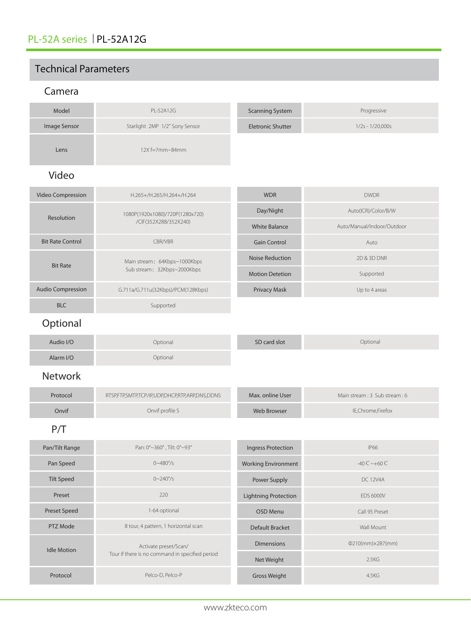## Technical Parameters

## Camera

| Model                    | PL-52A12G                                                                | <b>Scanning System</b>            | Progressive                                       |
|--------------------------|--------------------------------------------------------------------------|-----------------------------------|---------------------------------------------------|
| Image Sensor             | Starlight 2MP 1/2" Sony Sensor                                           | <b>Eletronic Shutter</b>          | $1/2s - 1/20,000s$                                |
| Lens                     | 12X f=7mm~84mm                                                           |                                   |                                                   |
| Video                    |                                                                          |                                   |                                                   |
| Video Compression        | H.265+/H.265/H.264+/H.264                                                | <b>WDR</b>                        | <b>DWDR</b>                                       |
| Resolution               | 1080P(1920x1080)/720P(1280x720)<br>/CIF(352X288/352X240)                 | Day/Night<br><b>White Balance</b> | Auto(ICR)/Color/B/W<br>Auto/Manual/Indoor/Outdoor |
| <b>Bit Rate Control</b>  | CBR/VBR                                                                  | <b>Gain Control</b>               | Auto                                              |
| <b>Bit Rate</b>          | Main stream: 64Kbps~1000Kbps<br>Sub stream: 32Kbps~2000Kbps              | <b>Noise Reduction</b>            | 2D & 3D DNR                                       |
|                          |                                                                          | <b>Motion Detetion</b>            | Supported                                         |
| <b>Audio Compression</b> | G.711a/G.711u(32Kbps)/PCM(128Kbps)                                       | Privacy Mask                      | Up to 4 areas                                     |
| <b>BLC</b>               | Supported                                                                |                                   |                                                   |
| Optional                 |                                                                          |                                   |                                                   |
| Audio I/O                | Optional                                                                 | SD card slot                      | Optional                                          |
| Alarm I/O                | Optional                                                                 |                                   |                                                   |
| <b>Network</b>           |                                                                          |                                   |                                                   |
| Protocol                 | RTSP,FTP,SMTP,TCP/IP,UDP,DHCP,RTP,ARP,DNS,DDNS                           | Max. online User                  | Main stream: 3 Sub stream: 6                      |
| Onvif                    | Onvif profile S                                                          | <b>Web Browser</b>                | IE,Chrome,Firefox                                 |
| P/T                      |                                                                          |                                   |                                                   |
| Pan/Tilt Range           | Pan: 0°~360°, Tilt: 0°~93°                                               | <b>Ingress Protection</b>         | <b>IP66</b>                                       |
| Pan Speed                | $0 - 480^{\circ}/s$                                                      | <b>Working Environment</b>        | $-40^{\circ}$ C $\sim +60^{\circ}$ C              |
| <b>Tilt Speed</b>        | $0 - 240^{\circ}/s$                                                      | Power Supply                      | <b>DC 12V4A</b>                                   |
| Preset                   | 220                                                                      | <b>Lightning Protection</b>       | <b>EDS 6000V</b>                                  |
| <b>Preset Speed</b>      | 1-64 optional                                                            | OSD Menu                          | Call 95 Preset                                    |
| PTZ Mode                 | 8 tour, 4 pattern, 1 horizontal scan                                     | Default Bracket                   | Wall Mount                                        |
| <b>Idle Motion</b>       | Activate preset/Scan/<br>Tour if there is no command in specified period | <b>Dimensions</b>                 | $Q210(mm) \times 287(mm)$                         |
|                          |                                                                          | Net Weight                        | 2.5KG                                             |
| Protocol                 | Pelco-D, Pelco-P                                                         | Gross Weight                      | 4.5KG                                             |